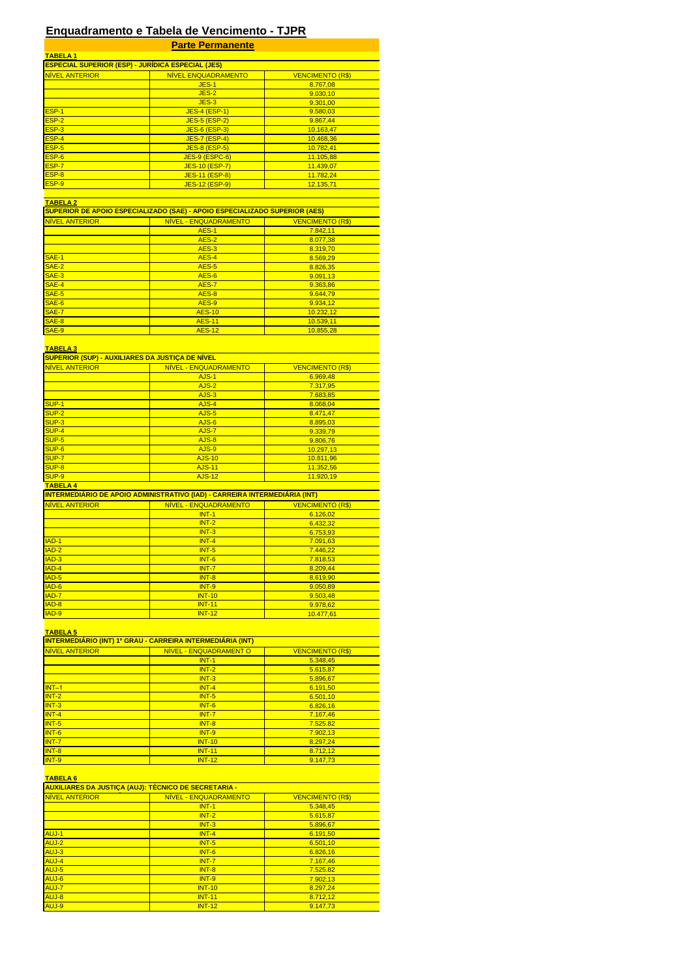# **Enquadramento e Tabela de Vencimento - TJPR**

|                       | <b>Parte Permanente</b>                                                         |                         |
|-----------------------|---------------------------------------------------------------------------------|-------------------------|
| <b>TABELA1</b>        |                                                                                 |                         |
| <b>NÍVEL ANTERIOR</b> | <b>ESPECIAL SUPERIOR (ESP) - JURÍDICA ESPECIAL (JES)</b><br>NÍVEL ENQUADRAMENTO | <b>VENCIMENTO (R\$)</b> |
|                       | <b>JES-1</b>                                                                    | 8.767,08                |
|                       | $JES-2$                                                                         | 9.030,10                |
|                       | $JES-3$                                                                         | 9.301.00                |
| ESP-1                 | <b>JES-4 (ESP-1)</b>                                                            | 9.580,03                |
| ESP-2                 | <b>JES-5 (ESP-2)</b>                                                            | 9.867,44                |
| ESP-3                 | <b>JES-6 (ESP-3)</b>                                                            | 10.163,47               |
| ESP-4                 | <b>JES-7 (ESP-4)</b>                                                            | 10.468,36               |
| ESP-5                 | <b>JES-8 (ESP-5)</b>                                                            | 10.782,41               |
| ESP-6                 | <b>JES-9 (ESPC-6)</b>                                                           | 11.105,88               |
| ESP-7                 | <b>JES-10 (ESP-7)</b>                                                           | 11.439,07               |
| ESP-8                 | JES-11 (ESP-8)                                                                  | 11.782,24               |
| ESP-9                 | JES-12 (ESP-9)                                                                  | 12.135,71               |
| <b>TABELA 2</b>       |                                                                                 |                         |
|                       | SUPERIOR DE APOIO ESPECIALIZADO (SAE) - APOIO ESPECIALIZADO SUPERIOR (AES)      |                         |
| NÍVEL ANTERIOR        | NIVEL - ENQUADRAMENTO                                                           | <b>VENCIMENTO (R\$)</b> |
|                       | <b>AES-1</b>                                                                    | 7.842,11                |
|                       | AES-2                                                                           | 8.077,38                |
|                       | AES-3                                                                           | 8.319,70                |
| <b>SAE-1</b>          | AES-4                                                                           | 8.569,29                |
| SAE-2                 | <b>AES-5</b>                                                                    | 8.826,35                |
| SAE-3                 | AES-6                                                                           | 9.091,13                |
| SAE-4                 | <b>AES-7</b>                                                                    | 9.363,86                |
| SAE-5                 | <b>AES-8</b>                                                                    | 9.644,79                |
| SAE-6                 | AES-9                                                                           | 9.934,12                |
| SAE-7                 | <b>AES-10</b>                                                                   | 10.232,12               |
| SAE-8                 | <b>AES-11</b>                                                                   | 10.539,11               |
| SAE-9                 | <b>AES-12</b>                                                                   | 10.855,28               |
|                       |                                                                                 |                         |
| <b>TABELA 3</b>       |                                                                                 |                         |
|                       | <b>SUPERIOR (SUP) - AUXILIARES DA JUSTIÇA DE NÍVEL</b>                          |                         |
| NÍVEL ANTERIOR        | NÍVEL - ENQUADRAMENTO                                                           | <b>VENCIMENTO (R\$)</b> |
|                       | AJS-1                                                                           | 6.969,48                |
|                       | AJS-2<br>AJS-3                                                                  | 7.317,95                |
| SUP-1                 | AJS-4                                                                           | 7.683,85                |
| SUP-2                 | AJS-5                                                                           | 8.068,04<br>8.471,47    |
| SUP-3                 | AJS-6                                                                           | 8.895,03                |
| SUP-4                 | AJS-7                                                                           | 9.339,79                |
| SUP-5                 | AJS-8                                                                           | 9.806,76                |
| SUP-6                 | AJS-9                                                                           | 10.297,13               |
| SUP-7                 | <b>AJS-10</b>                                                                   | 10.811,96               |
| SUP-8                 | <b>AJS-11</b>                                                                   | 11.352,56               |
| SUP-9                 | <b>AJS-12</b>                                                                   | 11.920,19               |
| <b>TABELA 4</b>       |                                                                                 |                         |
|                       | INTERMEDIÁRIO DE APOIO ADMINISTRATIVO (IAD) - CARREIRA INTERMEDIARIA (INT)      |                         |
| NÍVEL ANTERIOR        | NÍVEL - ENQUADRAMENTO                                                           | <b>VENCIMENTO (R\$)</b> |
|                       | $INT-1$                                                                         | 6.126,02                |
|                       | $INT-2$                                                                         | 6.432,32                |
|                       | $INT-3$                                                                         | 6.753,93                |
| $IAD-1$               | $INT-4$                                                                         | 7.091,63                |
| IAD-2                 | $INT-5$                                                                         | 7.446,22                |
| $IAD-3$               | $INT-6$                                                                         | 7.818,53                |
| $IAD-4$               | $INT-7$                                                                         | 8.209,44                |
| IAD-5                 | INT-8                                                                           | 8.619,90                |
| IAD-6                 | <b>INT-9</b>                                                                    | 9.050.89                |
| IAD-7                 | <b>INT-10</b>                                                                   | 9.503,48                |
| IAD-8                 | <b>INT-11</b>                                                                   | 9.978,62                |
| IAD-9                 | <b>INT-12</b>                                                                   | 10.477,61               |
|                       |                                                                                 |                         |
| <b>TABELA 5</b>       |                                                                                 |                         |
|                       | <b>INTERMEDIÁRIO (INT) 1º GRAU - CARREIRA INTERMEDIÁRIA (INT)</b>               |                         |
| <b>NIVEL ANTERIOR</b> | NÍVEL - ENQUADRAMENT O                                                          | <b>VENCIMENTO (R\$)</b> |
|                       | $INT-1$<br>$INT-2$                                                              | 5.348,45                |
|                       | $INT-3$                                                                         | 5.615,87<br>5.896,67    |
| $INT-1$               | $INT-4$                                                                         | 6.191,50                |
| $INT-2$               | $INT-5$                                                                         | 6.501,10                |
| $INT-3$               | $INT-6$                                                                         | 6.826,16                |
| $INT-4$               | $INT-7$                                                                         | 7.167,46                |
| $INT-5$               | $INT-8$                                                                         | 7.525.82                |
| INT-6                 | <b>INT-9</b>                                                                    | 7.902,13                |
| $INT-7$               | <b>INT-10</b>                                                                   | 8.297,24                |
| $INT-8$               | <b>INT-11</b>                                                                   | 8.712,12                |
| <b>INT-9</b>          | <b>INT-12</b>                                                                   | 9.147,73                |
|                       |                                                                                 |                         |
| <b>TABELA 6</b>       |                                                                                 |                         |
|                       | AUXILIARES DA JUSTIÇA (AUJ): TÉCNICO DE SECRETARIA -                            |                         |
| <b>NIVEL ANTERIOR</b> | NIVEL - ENQUADRAMENTO                                                           | <b>VENCIMENTO (R\$)</b> |
|                       | $INT-1$                                                                         | 5.348,45                |
|                       | $INT-2$                                                                         | 5.615,87                |
|                       | $INT-3$                                                                         | 5.896,67                |
| AUJ-1                 | $INT-4$                                                                         | 6.191,50                |
| AUJ-2                 | $INT-5$                                                                         | 6.501,10                |
| AUJ-3                 | $INT-6$                                                                         | 6.826,16                |
| AUJ-4                 | $INT-7$                                                                         | 7.167,46                |
| AUJ-5                 | $INT-8$                                                                         | 7.525.82                |
| AUJ-6                 | <b>INT-9</b>                                                                    | 7.902,13                |
| AUJ-7                 |                                                                                 |                         |
|                       | <b>INT-10</b>                                                                   | 8.297,24                |
| AUJ-8<br>AUJ-9        | <b>INT-11</b><br><b>INT-12</b>                                                  | 8.712,12<br>9.147,73    |